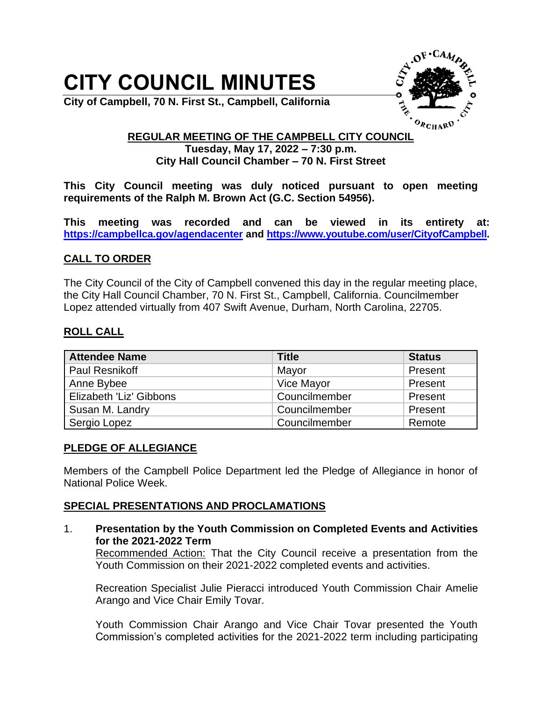# **CITY COUNCIL MINUTES**



**City of Campbell, 70 N. First St., Campbell, California**

# **REGULAR MEETING OF THE CAMPBELL CITY COUNCIL Tuesday, May 17, 2022 – 7:30 p.m. City Hall Council Chamber – 70 N. First Street**

**This City Council meeting was duly noticed pursuant to open meeting requirements of the Ralph M. Brown Act (G.C. Section 54956).**

**This meeting was recorded and can be viewed in its entirety at: <https://campbellca.gov/agendacenter> and [https://www.youtube.com/user/CityofCampbell.](https://www.youtube.com/user/CityofCampbell)**

# **CALL TO ORDER**

The City Council of the City of Campbell convened this day in the regular meeting place, the City Hall Council Chamber, 70 N. First St., Campbell, California. Councilmember Lopez attended virtually from 407 Swift Avenue, Durham, North Carolina, 22705.

# **ROLL CALL**

| <b>Attendee Name</b>    | <b>Title</b>  | <b>Status</b> |
|-------------------------|---------------|---------------|
| Paul Resnikoff          | Mayor         | Present       |
| Anne Bybee              | Vice Mayor    | Present       |
| Elizabeth 'Liz' Gibbons | Councilmember | Present       |
| Susan M. Landry         | Councilmember | Present       |
| Sergio Lopez            | Councilmember | Remote        |

# **PLEDGE OF ALLEGIANCE**

Members of the Campbell Police Department led the Pledge of Allegiance in honor of National Police Week.

# **SPECIAL PRESENTATIONS AND PROCLAMATIONS**

1. **Presentation by the Youth Commission on Completed Events and Activities for the 2021-2022 Term** 

Recommended Action: That the City Council receive a presentation from the Youth Commission on their 2021-2022 completed events and activities.

Recreation Specialist Julie Pieracci introduced Youth Commission Chair Amelie Arango and Vice Chair Emily Tovar.

Youth Commission Chair Arango and Vice Chair Tovar presented the Youth Commission's completed activities for the 2021-2022 term including participating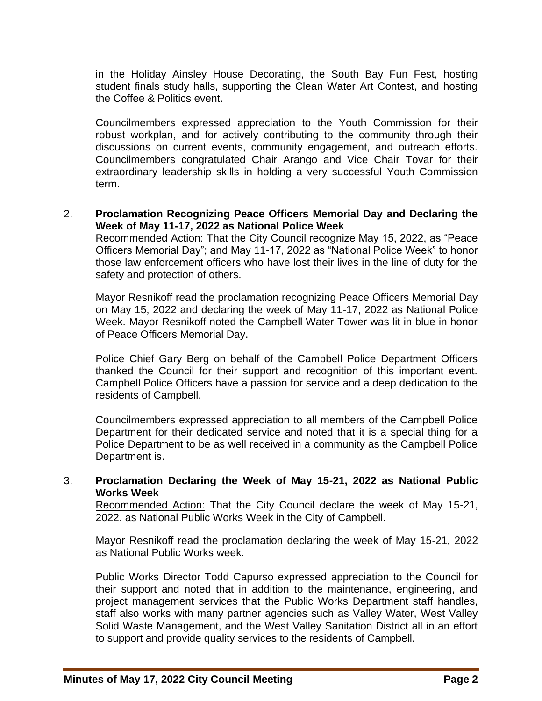in the Holiday Ainsley House Decorating, the South Bay Fun Fest, hosting student finals study halls, supporting the Clean Water Art Contest, and hosting the Coffee & Politics event.

Councilmembers expressed appreciation to the Youth Commission for their robust workplan, and for actively contributing to the community through their discussions on current events, community engagement, and outreach efforts. Councilmembers congratulated Chair Arango and Vice Chair Tovar for their extraordinary leadership skills in holding a very successful Youth Commission term.

## 2. **Proclamation Recognizing Peace Officers Memorial Day and Declaring the Week of May 11-17, 2022 as National Police Week**

Recommended Action: That the City Council recognize May 15, 2022, as "Peace Officers Memorial Day"; and May 11-17, 2022 as "National Police Week" to honor those law enforcement officers who have lost their lives in the line of duty for the safety and protection of others.

Mayor Resnikoff read the proclamation recognizing Peace Officers Memorial Day on May 15, 2022 and declaring the week of May 11-17, 2022 as National Police Week. Mayor Resnikoff noted the Campbell Water Tower was lit in blue in honor of Peace Officers Memorial Day.

Police Chief Gary Berg on behalf of the Campbell Police Department Officers thanked the Council for their support and recognition of this important event. Campbell Police Officers have a passion for service and a deep dedication to the residents of Campbell.

Councilmembers expressed appreciation to all members of the Campbell Police Department for their dedicated service and noted that it is a special thing for a Police Department to be as well received in a community as the Campbell Police Department is.

## 3. **Proclamation Declaring the Week of May 15-21, 2022 as National Public Works Week**

Recommended Action: That the City Council declare the week of May 15-21, 2022, as National Public Works Week in the City of Campbell.

Mayor Resnikoff read the proclamation declaring the week of May 15-21, 2022 as National Public Works week.

Public Works Director Todd Capurso expressed appreciation to the Council for their support and noted that in addition to the maintenance, engineering, and project management services that the Public Works Department staff handles, staff also works with many partner agencies such as Valley Water, West Valley Solid Waste Management, and the West Valley Sanitation District all in an effort to support and provide quality services to the residents of Campbell.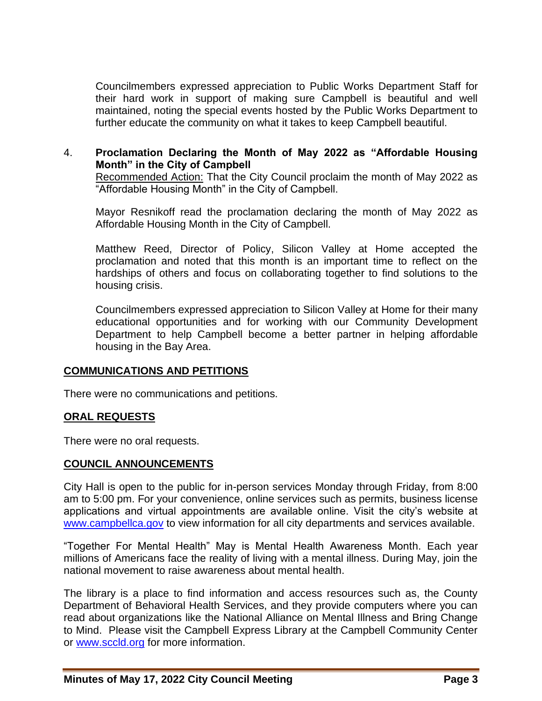Councilmembers expressed appreciation to Public Works Department Staff for their hard work in support of making sure Campbell is beautiful and well maintained, noting the special events hosted by the Public Works Department to further educate the community on what it takes to keep Campbell beautiful.

# 4. **Proclamation Declaring the Month of May 2022 as "Affordable Housing Month" in the City of Campbell**

Recommended Action: That the City Council proclaim the month of May 2022 as "Affordable Housing Month" in the City of Campbell.

Mayor Resnikoff read the proclamation declaring the month of May 2022 as Affordable Housing Month in the City of Campbell.

Matthew Reed, Director of Policy, Silicon Valley at Home accepted the proclamation and noted that this month is an important time to reflect on the hardships of others and focus on collaborating together to find solutions to the housing crisis.

Councilmembers expressed appreciation to Silicon Valley at Home for their many educational opportunities and for working with our Community Development Department to help Campbell become a better partner in helping affordable housing in the Bay Area.

## **COMMUNICATIONS AND PETITIONS**

There were no communications and petitions.

## **ORAL REQUESTS**

There were no oral requests.

#### **COUNCIL ANNOUNCEMENTS**

City Hall is open to the public for in-person services Monday through Friday, from 8:00 am to 5:00 pm. For your convenience, online services such as permits, business license applications and virtual appointments are available online. Visit the city's website at [www.campbellca.gov](file:///C:/Users/asanders/AppData/Local/Microsoft/Windows/INetCache/Content.Outlook/E065HUG7/www.campbellca.gov) to view information for all city departments and services available.

"Together For Mental Health" May is Mental Health Awareness Month. Each year millions of Americans face the reality of living with a mental illness. During May, join the national movement to raise awareness about mental health.

The library is a place to find information and access resources such as, the County Department of Behavioral Health Services, and they provide computers where you can read about organizations like the National Alliance on Mental Illness and Bring Change to Mind. Please visit the Campbell Express Library at the Campbell Community Center or [www.sccld.org](file:///C:/Users/asanders/AppData/Local/Microsoft/Windows/INetCache/Content.Outlook/E065HUG7/www.sccld.org) for more information.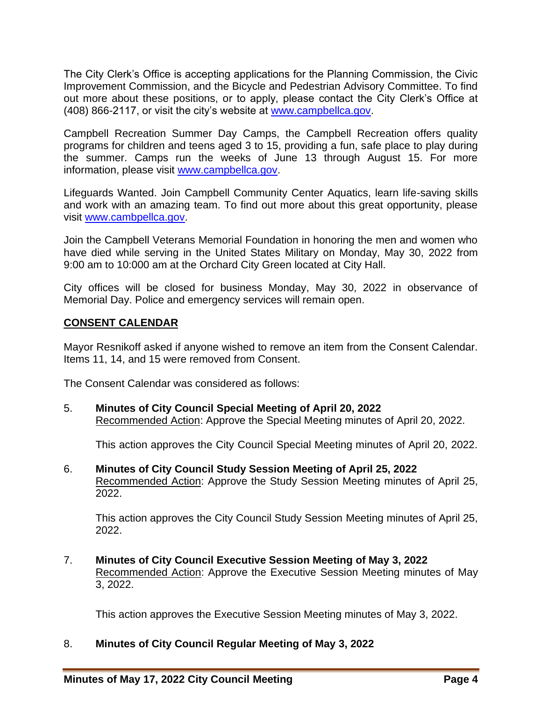The City Clerk's Office is accepting applications for the Planning Commission, the Civic Improvement Commission, and the Bicycle and Pedestrian Advisory Committee. To find out more about these positions, or to apply, please contact the City Clerk's Office at (408) 866-2117, or visit the city's website at [www.campbellca.gov.](file:///C:/Users/asanders/AppData/Local/Microsoft/Windows/INetCache/Content.Outlook/E065HUG7/www.campbellca.gov)

Campbell Recreation Summer Day Camps, the Campbell Recreation offers quality programs for children and teens aged 3 to 15, providing a fun, safe place to play during the summer. Camps run the weeks of June 13 through August 15. For more information, please visit [www.campbellca.gov.](file:///C:/Users/asanders/AppData/Local/Microsoft/Windows/INetCache/Content.Outlook/E065HUG7/www.campbellca.gov)

Lifeguards Wanted. Join Campbell Community Center Aquatics, learn life-saving skills and work with an amazing team. To find out more about this great opportunity, please visit [www.cambpellca.gov.](file:///C:/Users/asanders/AppData/Local/Microsoft/Windows/INetCache/Content.Outlook/E065HUG7/www.cambpellca.gov)

Join the Campbell Veterans Memorial Foundation in honoring the men and women who have died while serving in the United States Military on Monday, May 30, 2022 from 9:00 am to 10:000 am at the Orchard City Green located at City Hall.

City offices will be closed for business Monday, May 30, 2022 in observance of Memorial Day. Police and emergency services will remain open.

## **CONSENT CALENDAR**

Mayor Resnikoff asked if anyone wished to remove an item from the Consent Calendar. Items 11, 14, and 15 were removed from Consent.

The Consent Calendar was considered as follows:

5. **Minutes of City Council Special Meeting of April 20, 2022**  Recommended Action: Approve the Special Meeting minutes of April 20, 2022.

This action approves the City Council Special Meeting minutes of April 20, 2022.

6. **Minutes of City Council Study Session Meeting of April 25, 2022**  Recommended Action: Approve the Study Session Meeting minutes of April 25, 2022.

This action approves the City Council Study Session Meeting minutes of April 25, 2022.

7. **Minutes of City Council Executive Session Meeting of May 3, 2022**  Recommended Action: Approve the Executive Session Meeting minutes of May 3, 2022.

This action approves the Executive Session Meeting minutes of May 3, 2022.

#### 8. **Minutes of City Council Regular Meeting of May 3, 2022**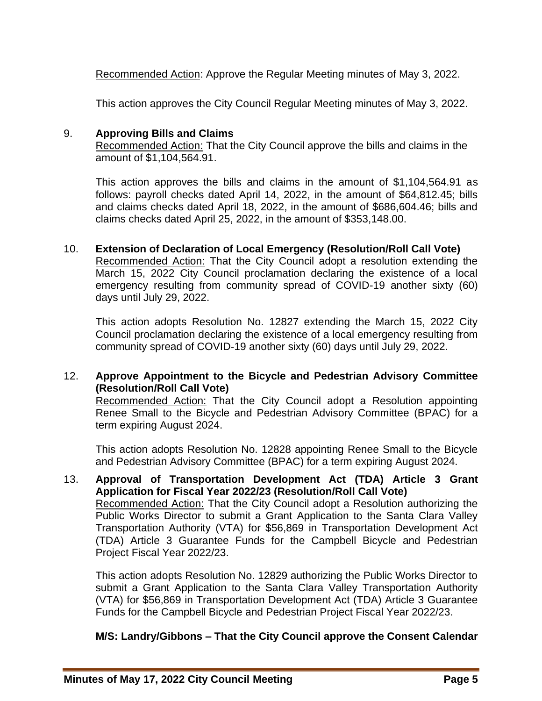Recommended Action: Approve the Regular Meeting minutes of May 3, 2022.

This action approves the City Council Regular Meeting minutes of May 3, 2022.

## 9. **Approving Bills and Claims**

Recommended Action: That the City Council approve the bills and claims in the amount of \$1,104,564.91.

This action approves the bills and claims in the amount of \$1,104,564.91 as follows: payroll checks dated April 14, 2022, in the amount of \$64,812.45; bills and claims checks dated April 18, 2022, in the amount of \$686,604.46; bills and claims checks dated April 25, 2022, in the amount of \$353,148.00.

10. **Extension of Declaration of Local Emergency (Resolution/Roll Call Vote)**  Recommended Action: That the City Council adopt a resolution extending the March 15, 2022 City Council proclamation declaring the existence of a local emergency resulting from community spread of COVID-19 another sixty (60) days until July 29, 2022.

This action adopts Resolution No. 12827 extending the March 15, 2022 City Council proclamation declaring the existence of a local emergency resulting from community spread of COVID-19 another sixty (60) days until July 29, 2022.

# 12. **Approve Appointment to the Bicycle and Pedestrian Advisory Committee (Resolution/Roll Call Vote)**

Recommended Action: That the City Council adopt a Resolution appointing Renee Small to the Bicycle and Pedestrian Advisory Committee (BPAC) for a term expiring August 2024.

This action adopts Resolution No. 12828 appointing Renee Small to the Bicycle and Pedestrian Advisory Committee (BPAC) for a term expiring August 2024.

13. **Approval of Transportation Development Act (TDA) Article 3 Grant Application for Fiscal Year 2022/23 (Resolution/Roll Call Vote)**  Recommended Action: That the City Council adopt a Resolution authorizing the Public Works Director to submit a Grant Application to the Santa Clara Valley Transportation Authority (VTA) for \$56,869 in Transportation Development Act (TDA) Article 3 Guarantee Funds for the Campbell Bicycle and Pedestrian Project Fiscal Year 2022/23.

This action adopts Resolution No. 12829 authorizing the Public Works Director to submit a Grant Application to the Santa Clara Valley Transportation Authority (VTA) for \$56,869 in Transportation Development Act (TDA) Article 3 Guarantee Funds for the Campbell Bicycle and Pedestrian Project Fiscal Year 2022/23.

#### **M/S: Landry/Gibbons – That the City Council approve the Consent Calendar**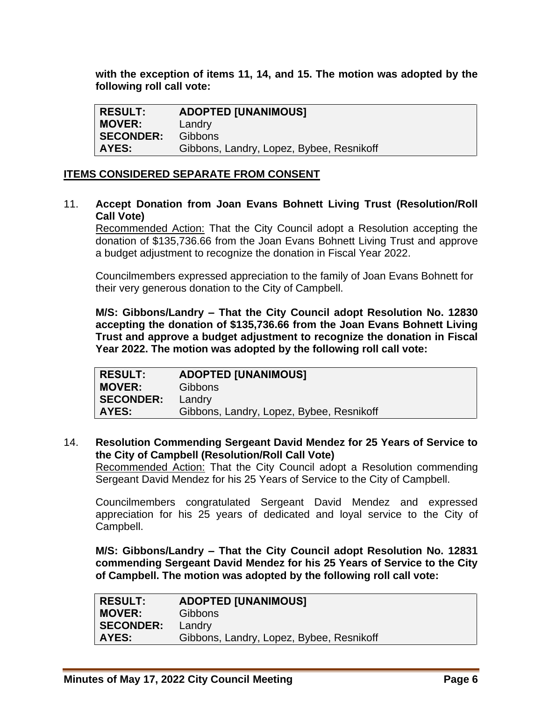**with the exception of items 11, 14, and 15. The motion was adopted by the following roll call vote:** 

| <b>RESULT:</b>   | <b>ADOPTED [UNANIMOUS]</b>               |
|------------------|------------------------------------------|
| <b>MOVER:</b>    | Landry                                   |
| <b>SECONDER:</b> | <b>Gibbons</b>                           |
| <b>AYES:</b>     | Gibbons, Landry, Lopez, Bybee, Resnikoff |

## **ITEMS CONSIDERED SEPARATE FROM CONSENT**

11. **Accept Donation from Joan Evans Bohnett Living Trust (Resolution/Roll Call Vote)** 

Recommended Action: That the City Council adopt a Resolution accepting the donation of \$135,736.66 from the Joan Evans Bohnett Living Trust and approve a budget adjustment to recognize the donation in Fiscal Year 2022.

Councilmembers expressed appreciation to the family of Joan Evans Bohnett for their very generous donation to the City of Campbell.

**M/S: Gibbons/Landry – That the City Council adopt Resolution No. 12830 accepting the donation of \$135,736.66 from the Joan Evans Bohnett Living Trust and approve a budget adjustment to recognize the donation in Fiscal Year 2022. The motion was adopted by the following roll call vote:** 

| <b>RESULT:</b>   | <b>ADOPTED [UNANIMOUS]</b>               |
|------------------|------------------------------------------|
| <b>MOVER:</b>    | <b>Gibbons</b>                           |
| <b>SECONDER:</b> | Landry                                   |
| AYES:            | Gibbons, Landry, Lopez, Bybee, Resnikoff |

## 14. **Resolution Commending Sergeant David Mendez for 25 Years of Service to the City of Campbell (Resolution/Roll Call Vote)**

Recommended Action: That the City Council adopt a Resolution commending Sergeant David Mendez for his 25 Years of Service to the City of Campbell.

Councilmembers congratulated Sergeant David Mendez and expressed appreciation for his 25 years of dedicated and loyal service to the City of Campbell.

**M/S: Gibbons/Landry – That the City Council adopt Resolution No. 12831 commending Sergeant David Mendez for his 25 Years of Service to the City of Campbell. The motion was adopted by the following roll call vote:** 

| <b>RESULT:</b>   | <b>ADOPTED [UNANIMOUS]</b>               |
|------------------|------------------------------------------|
| <b>MOVER:</b>    | <b>Gibbons</b>                           |
| <b>SECONDER:</b> | Landry                                   |
| AYES:            | Gibbons, Landry, Lopez, Bybee, Resnikoff |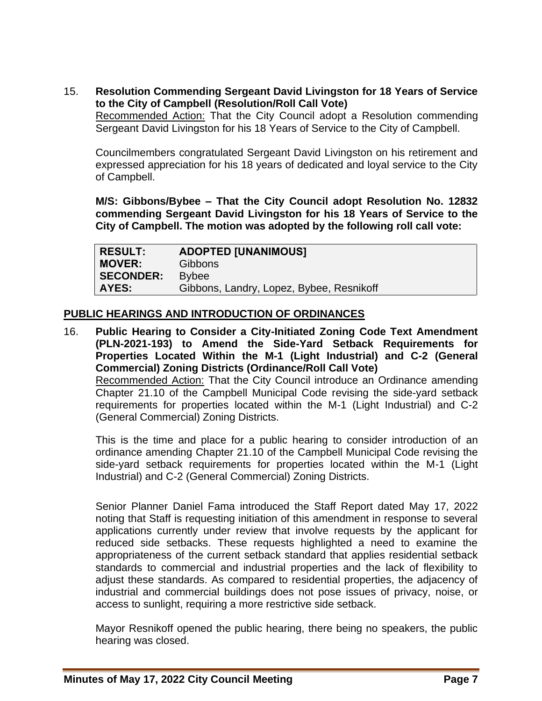15. **Resolution Commending Sergeant David Livingston for 18 Years of Service to the City of Campbell (Resolution/Roll Call Vote)** 

Recommended Action: That the City Council adopt a Resolution commending Sergeant David Livingston for his 18 Years of Service to the City of Campbell.

Councilmembers congratulated Sergeant David Livingston on his retirement and expressed appreciation for his 18 years of dedicated and loyal service to the City of Campbell.

**M/S: Gibbons/Bybee – That the City Council adopt Resolution No. 12832 commending Sergeant David Livingston for his 18 Years of Service to the City of Campbell. The motion was adopted by the following roll call vote:** 

| <b>RESULT:</b>   | <b>ADOPTED [UNANIMOUS]</b>               |
|------------------|------------------------------------------|
| <b>MOVER:</b>    | <b>Gibbons</b>                           |
| <b>SECONDER:</b> | <b>Bybee</b>                             |
| AYES:            | Gibbons, Landry, Lopez, Bybee, Resnikoff |

## **PUBLIC HEARINGS AND INTRODUCTION OF ORDINANCES**

16. **Public Hearing to Consider a City-Initiated Zoning Code Text Amendment (PLN-2021-193) to Amend the Side-Yard Setback Requirements for Properties Located Within the M-1 (Light Industrial) and C-2 (General Commercial) Zoning Districts (Ordinance/Roll Call Vote)**  Recommended Action: That the City Council introduce an Ordinance amending Chapter 21.10 of the Campbell Municipal Code revising the side-yard setback requirements for properties located within the M-1 (Light Industrial) and C-2 (General Commercial) Zoning Districts.

This is the time and place for a public hearing to consider introduction of an ordinance amending Chapter 21.10 of the Campbell Municipal Code revising the side-yard setback requirements for properties located within the M-1 (Light Industrial) and C-2 (General Commercial) Zoning Districts.

Senior Planner Daniel Fama introduced the Staff Report dated May 17, 2022 noting that Staff is requesting initiation of this amendment in response to several applications currently under review that involve requests by the applicant for reduced side setbacks. These requests highlighted a need to examine the appropriateness of the current setback standard that applies residential setback standards to commercial and industrial properties and the lack of flexibility to adjust these standards. As compared to residential properties, the adjacency of industrial and commercial buildings does not pose issues of privacy, noise, or access to sunlight, requiring a more restrictive side setback.

Mayor Resnikoff opened the public hearing, there being no speakers, the public hearing was closed.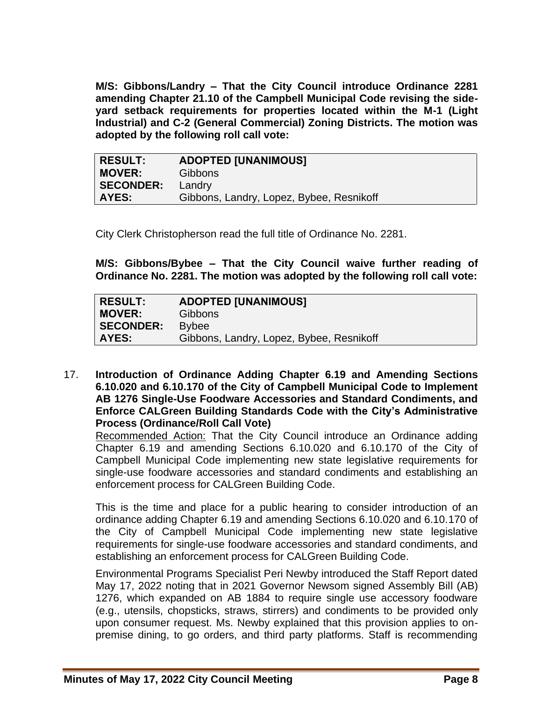**M/S: Gibbons/Landry – That the City Council introduce Ordinance 2281 amending Chapter 21.10 of the Campbell Municipal Code revising the sideyard setback requirements for properties located within the M-1 (Light Industrial) and C-2 (General Commercial) Zoning Districts. The motion was adopted by the following roll call vote:** 

| <b>RESULT:</b> | <b>ADOPTED [UNANIMOUS]</b>               |
|----------------|------------------------------------------|
| <b>MOVER:</b>  | <b>Gibbons</b>                           |
| SECONDER:      | Landry                                   |
| <b>AYES:</b>   | Gibbons, Landry, Lopez, Bybee, Resnikoff |

City Clerk Christopherson read the full title of Ordinance No. 2281.

**M/S: Gibbons/Bybee – That the City Council waive further reading of Ordinance No. 2281. The motion was adopted by the following roll call vote:** 

17. **Introduction of Ordinance Adding Chapter 6.19 and Amending Sections 6.10.020 and 6.10.170 of the City of Campbell Municipal Code to Implement AB 1276 Single-Use Foodware Accessories and Standard Condiments, and Enforce CALGreen Building Standards Code with the City's Administrative Process (Ordinance/Roll Call Vote)** 

Recommended Action: That the City Council introduce an Ordinance adding Chapter 6.19 and amending Sections 6.10.020 and 6.10.170 of the City of Campbell Municipal Code implementing new state legislative requirements for single-use foodware accessories and standard condiments and establishing an enforcement process for CALGreen Building Code.

This is the time and place for a public hearing to consider introduction of an ordinance adding Chapter 6.19 and amending Sections 6.10.020 and 6.10.170 of the City of Campbell Municipal Code implementing new state legislative requirements for single-use foodware accessories and standard condiments, and establishing an enforcement process for CALGreen Building Code.

Environmental Programs Specialist Peri Newby introduced the Staff Report dated May 17, 2022 noting that in 2021 Governor Newsom signed Assembly Bill (AB) 1276, which expanded on AB 1884 to require single use accessory foodware (e.g., utensils, chopsticks, straws, stirrers) and condiments to be provided only upon consumer request. Ms. Newby explained that this provision applies to onpremise dining, to go orders, and third party platforms. Staff is recommending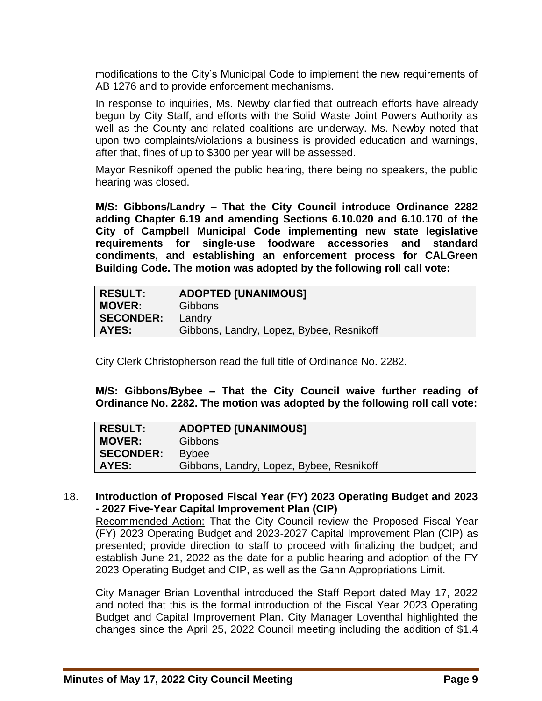modifications to the City's Municipal Code to implement the new requirements of AB 1276 and to provide enforcement mechanisms.

In response to inquiries, Ms. Newby clarified that outreach efforts have already begun by City Staff, and efforts with the Solid Waste Joint Powers Authority as well as the County and related coalitions are underway. Ms. Newby noted that upon two complaints/violations a business is provided education and warnings, after that, fines of up to \$300 per year will be assessed.

Mayor Resnikoff opened the public hearing, there being no speakers, the public hearing was closed.

**M/S: Gibbons/Landry – That the City Council introduce Ordinance 2282 adding Chapter 6.19 and amending Sections 6.10.020 and 6.10.170 of the City of Campbell Municipal Code implementing new state legislative requirements for single-use foodware accessories and standard condiments, and establishing an enforcement process for CALGreen Building Code. The motion was adopted by the following roll call vote:** 

| RESULT:          | <b>ADOPTED [UNANIMOUS]</b>               |
|------------------|------------------------------------------|
| MOVER:           | <b>Gibbons</b>                           |
| <b>SECONDER:</b> | Landry                                   |
| AYES:            | Gibbons, Landry, Lopez, Bybee, Resnikoff |

City Clerk Christopherson read the full title of Ordinance No. 2282.

**M/S: Gibbons/Bybee – That the City Council waive further reading of Ordinance No. 2282. The motion was adopted by the following roll call vote:** 

| RESULT:          | <b>ADOPTED [UNANIMOUS]</b>               |
|------------------|------------------------------------------|
| <b>MOVER:</b>    | <b>Gibbons</b>                           |
| <b>SECONDER:</b> | <b>Bybee</b>                             |
| AYES:            | Gibbons, Landry, Lopez, Bybee, Resnikoff |

## 18. **Introduction of Proposed Fiscal Year (FY) 2023 Operating Budget and 2023 - 2027 Five-Year Capital Improvement Plan (CIP)**

Recommended Action: That the City Council review the Proposed Fiscal Year (FY) 2023 Operating Budget and 2023-2027 Capital Improvement Plan (CIP) as presented; provide direction to staff to proceed with finalizing the budget; and establish June 21, 2022 as the date for a public hearing and adoption of the FY 2023 Operating Budget and CIP, as well as the Gann Appropriations Limit.

City Manager Brian Loventhal introduced the Staff Report dated May 17, 2022 and noted that this is the formal introduction of the Fiscal Year 2023 Operating Budget and Capital Improvement Plan. City Manager Loventhal highlighted the changes since the April 25, 2022 Council meeting including the addition of \$1.4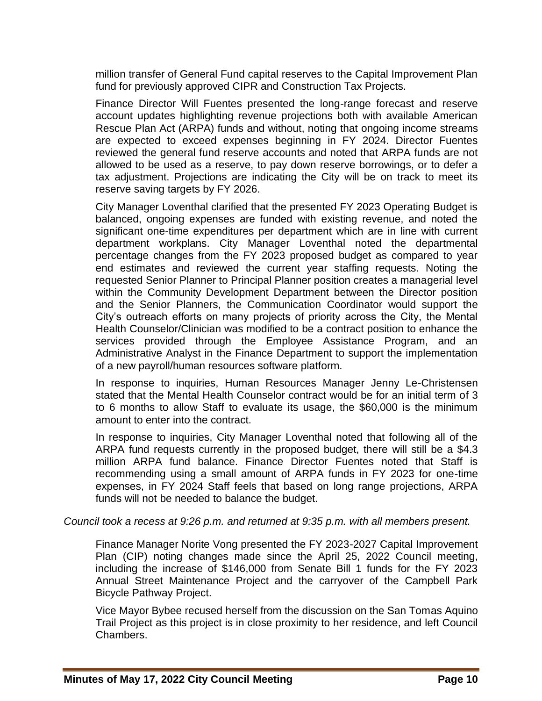million transfer of General Fund capital reserves to the Capital Improvement Plan fund for previously approved CIPR and Construction Tax Projects.

Finance Director Will Fuentes presented the long-range forecast and reserve account updates highlighting revenue projections both with available American Rescue Plan Act (ARPA) funds and without, noting that ongoing income streams are expected to exceed expenses beginning in FY 2024. Director Fuentes reviewed the general fund reserve accounts and noted that ARPA funds are not allowed to be used as a reserve, to pay down reserve borrowings, or to defer a tax adjustment. Projections are indicating the City will be on track to meet its reserve saving targets by FY 2026.

City Manager Loventhal clarified that the presented FY 2023 Operating Budget is balanced, ongoing expenses are funded with existing revenue, and noted the significant one-time expenditures per department which are in line with current department workplans. City Manager Loventhal noted the departmental percentage changes from the FY 2023 proposed budget as compared to year end estimates and reviewed the current year staffing requests. Noting the requested Senior Planner to Principal Planner position creates a managerial level within the Community Development Department between the Director position and the Senior Planners, the Communication Coordinator would support the City's outreach efforts on many projects of priority across the City, the Mental Health Counselor/Clinician was modified to be a contract position to enhance the services provided through the Employee Assistance Program, and an Administrative Analyst in the Finance Department to support the implementation of a new payroll/human resources software platform.

In response to inquiries, Human Resources Manager Jenny Le-Christensen stated that the Mental Health Counselor contract would be for an initial term of 3 to 6 months to allow Staff to evaluate its usage, the \$60,000 is the minimum amount to enter into the contract.

In response to inquiries, City Manager Loventhal noted that following all of the ARPA fund requests currently in the proposed budget, there will still be a \$4.3 million ARPA fund balance. Finance Director Fuentes noted that Staff is recommending using a small amount of ARPA funds in FY 2023 for one-time expenses, in FY 2024 Staff feels that based on long range projections, ARPA funds will not be needed to balance the budget.

*Council took a recess at 9:26 p.m. and returned at 9:35 p.m. with all members present.*

Finance Manager Norite Vong presented the FY 2023-2027 Capital Improvement Plan (CIP) noting changes made since the April 25, 2022 Council meeting, including the increase of \$146,000 from Senate Bill 1 funds for the FY 2023 Annual Street Maintenance Project and the carryover of the Campbell Park Bicycle Pathway Project.

Vice Mayor Bybee recused herself from the discussion on the San Tomas Aquino Trail Project as this project is in close proximity to her residence, and left Council Chambers.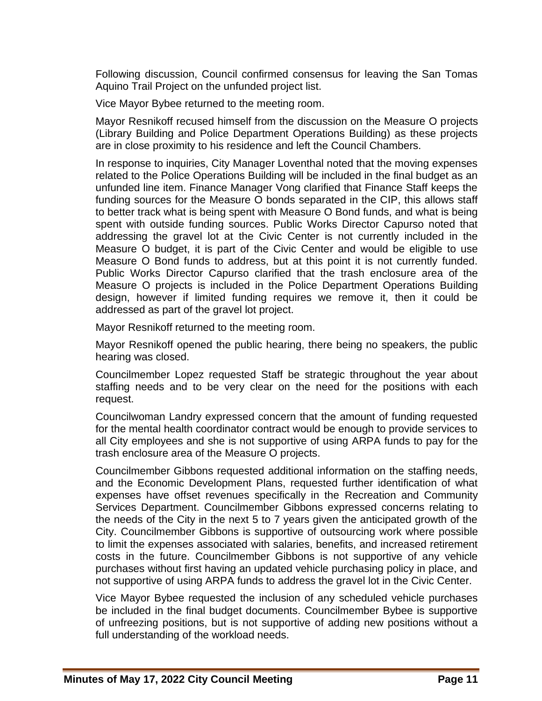Following discussion, Council confirmed consensus for leaving the San Tomas Aquino Trail Project on the unfunded project list.

Vice Mayor Bybee returned to the meeting room.

Mayor Resnikoff recused himself from the discussion on the Measure O projects (Library Building and Police Department Operations Building) as these projects are in close proximity to his residence and left the Council Chambers.

In response to inquiries, City Manager Loventhal noted that the moving expenses related to the Police Operations Building will be included in the final budget as an unfunded line item. Finance Manager Vong clarified that Finance Staff keeps the funding sources for the Measure O bonds separated in the CIP, this allows staff to better track what is being spent with Measure O Bond funds, and what is being spent with outside funding sources. Public Works Director Capurso noted that addressing the gravel lot at the Civic Center is not currently included in the Measure O budget, it is part of the Civic Center and would be eligible to use Measure O Bond funds to address, but at this point it is not currently funded. Public Works Director Capurso clarified that the trash enclosure area of the Measure O projects is included in the Police Department Operations Building design, however if limited funding requires we remove it, then it could be addressed as part of the gravel lot project.

Mayor Resnikoff returned to the meeting room.

Mayor Resnikoff opened the public hearing, there being no speakers, the public hearing was closed.

Councilmember Lopez requested Staff be strategic throughout the year about staffing needs and to be very clear on the need for the positions with each request.

Councilwoman Landry expressed concern that the amount of funding requested for the mental health coordinator contract would be enough to provide services to all City employees and she is not supportive of using ARPA funds to pay for the trash enclosure area of the Measure O projects.

Councilmember Gibbons requested additional information on the staffing needs, and the Economic Development Plans, requested further identification of what expenses have offset revenues specifically in the Recreation and Community Services Department. Councilmember Gibbons expressed concerns relating to the needs of the City in the next 5 to 7 years given the anticipated growth of the City. Councilmember Gibbons is supportive of outsourcing work where possible to limit the expenses associated with salaries, benefits, and increased retirement costs in the future. Councilmember Gibbons is not supportive of any vehicle purchases without first having an updated vehicle purchasing policy in place, and not supportive of using ARPA funds to address the gravel lot in the Civic Center.

Vice Mayor Bybee requested the inclusion of any scheduled vehicle purchases be included in the final budget documents. Councilmember Bybee is supportive of unfreezing positions, but is not supportive of adding new positions without a full understanding of the workload needs.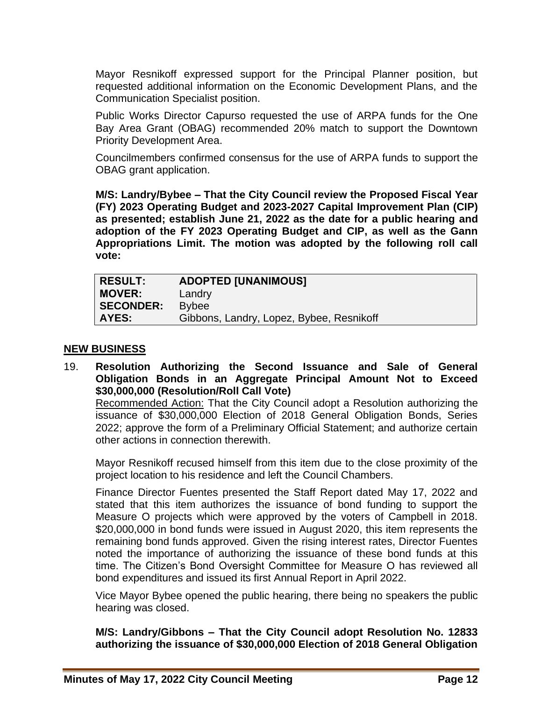Mayor Resnikoff expressed support for the Principal Planner position, but requested additional information on the Economic Development Plans, and the Communication Specialist position.

Public Works Director Capurso requested the use of ARPA funds for the One Bay Area Grant (OBAG) recommended 20% match to support the Downtown Priority Development Area.

Councilmembers confirmed consensus for the use of ARPA funds to support the OBAG grant application.

**M/S: Landry/Bybee – That the City Council review the Proposed Fiscal Year (FY) 2023 Operating Budget and 2023-2027 Capital Improvement Plan (CIP) as presented; establish June 21, 2022 as the date for a public hearing and adoption of the FY 2023 Operating Budget and CIP, as well as the Gann Appropriations Limit. The motion was adopted by the following roll call vote:** 

| <b>RESULT:</b>   | <b>ADOPTED [UNANIMOUS]</b>               |
|------------------|------------------------------------------|
| <b>MOVER:</b>    | Landry                                   |
| <b>SECONDER:</b> | <b>Bybee</b>                             |
| <b>AYES:</b>     | Gibbons, Landry, Lopez, Bybee, Resnikoff |

#### **NEW BUSINESS**

19. **Resolution Authorizing the Second Issuance and Sale of General Obligation Bonds in an Aggregate Principal Amount Not to Exceed \$30,000,000 (Resolution/Roll Call Vote)** 

Recommended Action: That the City Council adopt a Resolution authorizing the issuance of \$30,000,000 Election of 2018 General Obligation Bonds, Series 2022; approve the form of a Preliminary Official Statement; and authorize certain other actions in connection therewith.

Mayor Resnikoff recused himself from this item due to the close proximity of the project location to his residence and left the Council Chambers.

Finance Director Fuentes presented the Staff Report dated May 17, 2022 and stated that this item authorizes the issuance of bond funding to support the Measure O projects which were approved by the voters of Campbell in 2018. \$20,000,000 in bond funds were issued in August 2020, this item represents the remaining bond funds approved. Given the rising interest rates, Director Fuentes noted the importance of authorizing the issuance of these bond funds at this time. The Citizen's Bond Oversight Committee for Measure O has reviewed all bond expenditures and issued its first Annual Report in April 2022.

Vice Mayor Bybee opened the public hearing, there being no speakers the public hearing was closed.

**M/S: Landry/Gibbons – That the City Council adopt Resolution No. 12833 authorizing the issuance of \$30,000,000 Election of 2018 General Obligation**